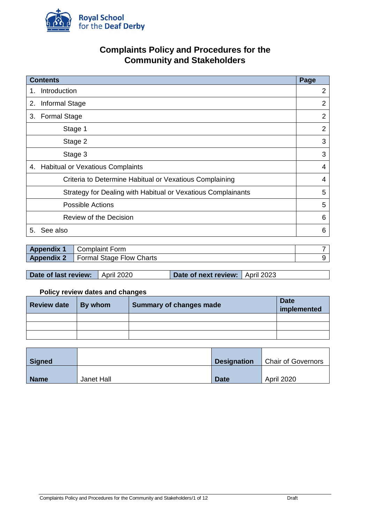

# **Complaints Policy and Procedures for the Community and Stakeholders**

| <b>Contents</b>                                              | Page           |
|--------------------------------------------------------------|----------------|
| Introduction<br>1.                                           | 2              |
| <b>Informal Stage</b><br>2.                                  | 2              |
| <b>Formal Stage</b><br>3.                                    | 2              |
| Stage 1                                                      | $\overline{2}$ |
| Stage 2                                                      | 3              |
| Stage 3                                                      | 3              |
| <b>Habitual or Vexatious Complaints</b><br>4.                | 4              |
| Criteria to Determine Habitual or Vexatious Complaining      | 4              |
| Strategy for Dealing with Habitual or Vexatious Complainants | 5              |
| <b>Possible Actions</b>                                      | 5              |
| <b>Review of the Decision</b>                                | 6              |
| See also<br>5.                                               | 6              |

| <b>Appendix 1</b> | ' Complaint Form                |  |
|-------------------|---------------------------------|--|
| <b>Appendix 2</b> | <b>Formal Stage Flow Charts</b> |  |

**Date of last review:** April 2020 **Date of next review:** April 2023

## **Policy review dates and changes**

| <b>Review date</b> | $\vert$ By whom | <b>Summary of changes made</b> | <b>Date</b><br>implemented |
|--------------------|-----------------|--------------------------------|----------------------------|
|                    |                 |                                |                            |
|                    |                 |                                |                            |
|                    |                 |                                |                            |

| Signed      |            | <b>Designation</b> | <b>Chair of Governors</b> |
|-------------|------------|--------------------|---------------------------|
| <b>Name</b> | Janet Hall | <b>Date</b>        | <b>April 2020</b>         |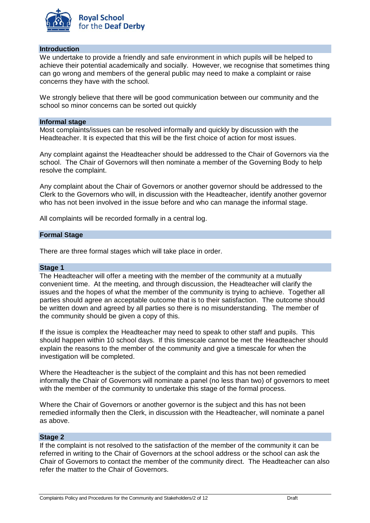

#### **Introduction**

We undertake to provide a friendly and safe environment in which pupils will be helped to achieve their potential academically and socially. However, we recognise that sometimes thing can go wrong and members of the general public may need to make a complaint or raise concerns they have with the school.

We strongly believe that there will be good communication between our community and the school so minor concerns can be sorted out quickly

#### **Informal stage**

Most complaints/issues can be resolved informally and quickly by discussion with the Headteacher. It is expected that this will be the first choice of action for most issues.

Any complaint against the Headteacher should be addressed to the Chair of Governors via the school. The Chair of Governors will then nominate a member of the Governing Body to help resolve the complaint.

Any complaint about the Chair of Governors or another governor should be addressed to the Clerk to the Governors who will, in discussion with the Headteacher, identify another governor who has not been involved in the issue before and who can manage the informal stage.

All complaints will be recorded formally in a central log.

#### **Formal Stage**

There are three formal stages which will take place in order.

#### **Stage 1**

The Headteacher will offer a meeting with the member of the community at a mutually convenient time. At the meeting, and through discussion, the Headteacher will clarify the issues and the hopes of what the member of the community is trying to achieve. Together all parties should agree an acceptable outcome that is to their satisfaction. The outcome should be written down and agreed by all parties so there is no misunderstanding. The member of the community should be given a copy of this.

If the issue is complex the Headteacher may need to speak to other staff and pupils. This should happen within 10 school days. If this timescale cannot be met the Headteacher should explain the reasons to the member of the community and give a timescale for when the investigation will be completed.

Where the Headteacher is the subject of the complaint and this has not been remedied informally the Chair of Governors will nominate a panel (no less than two) of governors to meet with the member of the community to undertake this stage of the formal process.

Where the Chair of Governors or another governor is the subject and this has not been remedied informally then the Clerk, in discussion with the Headteacher, will nominate a panel as above.

#### **Stage 2**

If the complaint is not resolved to the satisfaction of the member of the community it can be referred in writing to the Chair of Governors at the school address or the school can ask the Chair of Governors to contact the member of the community direct. The Headteacher can also refer the matter to the Chair of Governors.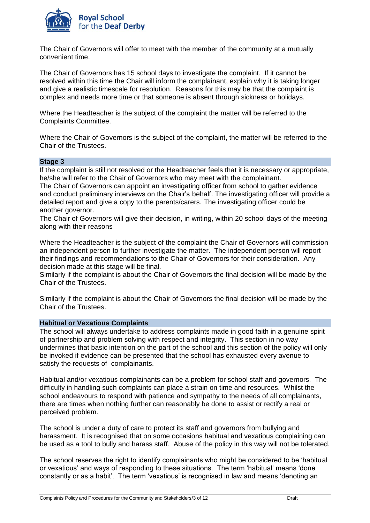

The Chair of Governors will offer to meet with the member of the community at a mutually convenient time.

The Chair of Governors has 15 school days to investigate the complaint. If it cannot be resolved within this time the Chair will inform the complainant, explain why it is taking longer and give a realistic timescale for resolution. Reasons for this may be that the complaint is complex and needs more time or that someone is absent through sickness or holidays.

Where the Headteacher is the subject of the complaint the matter will be referred to the Complaints Committee.

Where the Chair of Governors is the subject of the complaint, the matter will be referred to the Chair of the Trustees.

#### **Stage 3**

If the complaint is still not resolved or the Headteacher feels that it is necessary or appropriate, he/she will refer to the Chair of Governors who may meet with the complainant.

The Chair of Governors can appoint an investigating officer from school to gather evidence and conduct preliminary interviews on the Chair's behalf. The investigating officer will provide a detailed report and give a copy to the parents/carers. The investigating officer could be another governor.

The Chair of Governors will give their decision, in writing, within 20 school days of the meeting along with their reasons

Where the Headteacher is the subject of the complaint the Chair of Governors will commission an independent person to further investigate the matter. The independent person will report their findings and recommendations to the Chair of Governors for their consideration. Any decision made at this stage will be final.

Similarly if the complaint is about the Chair of Governors the final decision will be made by the Chair of the Trustees.

Similarly if the complaint is about the Chair of Governors the final decision will be made by the Chair of the Trustees.

## **Habitual or Vexatious Complaints**

The school will always undertake to address complaints made in good faith in a genuine spirit of partnership and problem solving with respect and integrity. This section in no way undermines that basic intention on the part of the school and this section of the policy will only be invoked if evidence can be presented that the school has exhausted every avenue to satisfy the requests of complainants.

Habitual and/or vexatious complainants can be a problem for school staff and governors. The difficulty in handling such complaints can place a strain on time and resources. Whilst the school endeavours to respond with patience and sympathy to the needs of all complainants, there are times when nothing further can reasonably be done to assist or rectify a real or perceived problem.

The school is under a duty of care to protect its staff and governors from bullying and harassment. It is recognised that on some occasions habitual and vexatious complaining can be used as a tool to bully and harass staff. Abuse of the policy in this way will not be tolerated.

The school reserves the right to identify complainants who might be considered to be 'habitual or vexatious' and ways of responding to these situations. The term 'habitual' means 'done constantly or as a habit'. The term 'vexatious' is recognised in law and means 'denoting an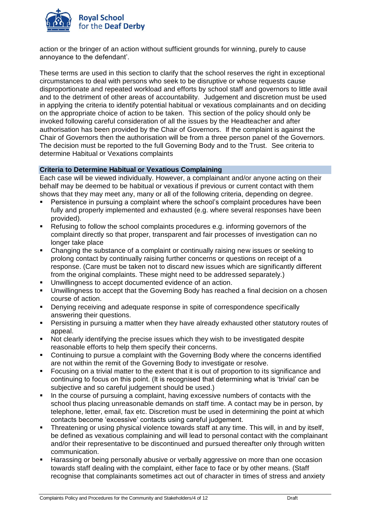

action or the bringer of an action without sufficient grounds for winning, purely to cause annoyance to the defendant'.

These terms are used in this section to clarify that the school reserves the right in exceptional circumstances to deal with persons who seek to be disruptive or whose requests cause disproportionate and repeated workload and efforts by school staff and governors to little avail and to the detriment of other areas of accountability. Judgement and discretion must be used in applying the criteria to identify potential habitual or vexatious complainants and on deciding on the appropriate choice of action to be taken. This section of the policy should only be invoked following careful consideration of all the issues by the Headteacher and after authorisation has been provided by the Chair of Governors. If the complaint is against the Chair of Governors then the authorisation will be from a three person panel of the Governors. The decision must be reported to the full Governing Body and to the Trust. See criteria to determine Habitual or Vexations complaints

## **Criteria to Determine Habitual or Vexatious Complaining**

Each case will be viewed individually. However, a complainant and/or anyone acting on their behalf may be deemed to be habitual or vexatious if previous or current contact with them shows that they may meet any, many or all of the following criteria, depending on degree.

- Persistence in pursuing a complaint where the school's complaint procedures have been fully and properly implemented and exhausted (e.g. where several responses have been provided).
- Refusing to follow the school complaints procedures e.g. informing governors of the complaint directly so that proper, transparent and fair processes of investigation can no longer take place
- Changing the substance of a complaint or continually raising new issues or seeking to prolong contact by continually raising further concerns or questions on receipt of a response. (Care must be taken not to discard new issues which are significantly different from the original complaints. These might need to be addressed separately.)
- Unwillingness to accept documented evidence of an action.
- Unwillingness to accept that the Governing Body has reached a final decision on a chosen course of action.
- Denying receiving and adequate response in spite of correspondence specifically answering their questions.
- Persisting in pursuing a matter when they have already exhausted other statutory routes of appeal.
- Not clearly identifying the precise issues which they wish to be investigated despite reasonable efforts to help them specify their concerns.
- Continuing to pursue a complaint with the Governing Body where the concerns identified are not within the remit of the Governing Body to investigate or resolve.
- Focusing on a trivial matter to the extent that it is out of proportion to its significance and continuing to focus on this point. (It is recognised that determining what is 'trivial' can be subjective and so careful judgement should be used.)
- In the course of pursuing a complaint, having excessive numbers of contacts with the school thus placing unreasonable demands on staff time. A contact may be in person, by telephone, letter, email, fax etc. Discretion must be used in determining the point at which contacts become 'excessive' contacts using careful judgement.
- Threatening or using physical violence towards staff at any time. This will, in and by itself, be defined as vexatious complaining and will lead to personal contact with the complainant and/or their representative to be discontinued and pursued thereafter only through written communication.
- Harassing or being personally abusive or verbally aggressive on more than one occasion towards staff dealing with the complaint, either face to face or by other means. (Staff recognise that complainants sometimes act out of character in times of stress and anxiety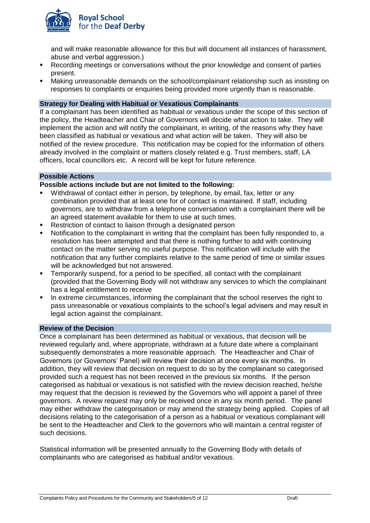

and will make reasonable allowance for this but will document all instances of harassment, abuse and verbal aggression.)

- Recording meetings or conversations without the prior knowledge and consent of parties present.
- Making unreasonable demands on the school/complainant relationship such as insisting on responses to complaints or enquiries being provided more urgently than is reasonable.

#### **Strategy for Dealing with Habitual or Vexatious Complainants**

If a complainant has been identified as habitual or vexatious under the scope of this section of the policy, the Headteacher and Chair of Governors will decide what action to take. They will implement the action and will notify the complainant, in writing, of the reasons why they have been classified as habitual or vexatious and what action will be taken. They will also be notified of the review procedure. This notification may be copied for the information of others already involved in the complaint or matters closely related e.g. Trust members, staff, LA officers, local councillors etc. A record will be kept for future reference.

## **Possible Actions**

## **Possible actions include but are not limited to the following:**

- Withdrawal of contact either in person, by telephone, by email, fax, letter or any combination provided that at least one for of contact is maintained. If staff, including governors, are to withdraw from a telephone conversation with a complainant there will be an agreed statement available for them to use at such times.
- Restriction of contact to liaison through a designated person
- Notification to the complainant in writing that the complaint has been fully responded to, a resolution has been attempted and that there is nothing further to add with continuing contact on the matter serving no useful purpose. This notification will include with the notification that any further complaints relative to the same period of time or similar issues will be acknowledged but not answered.
- **Temporarily suspend, for a period to be specified, all contact with the complainant** (provided that the Governing Body will not withdraw any services to which the complainant has a legal entitlement to receive
- In extreme circumstances, informing the complainant that the school reserves the right to pass unreasonable or vexatious complaints to the school's legal advisers and may result in legal action against the complainant.

#### **Review of the Decision**

Once a complainant has been determined as habitual or vexatious, that decision will be reviewed regularly and, where appropriate, withdrawn at a future date where a complainant subsequently demonstrates a more reasonable approach. The Headteacher and Chair of Governors (or Governors' Panel) will review their decision at once every six months. In addition, they will review that decision on request to do so by the complainant so categorised provided such a request has not been received in the previous six months. If the person categorised as habitual or vexatious is not satisfied with the review decision reached, he/she may request that the decision is reviewed by the Governors who will appoint a panel of three governors. A review request may only be received once in any six month period. The panel may either withdraw the categorisation or may amend the strategy being applied. Copies of all decisions relating to the categorisation of a person as a habitual or vexatious complainant will be sent to the Headteacher and Clerk to the governors who will maintain a central register of such decisions.

Statistical information will be presented annually to the Governing Body with details of complainants who are categorised as habitual and/or vexatious.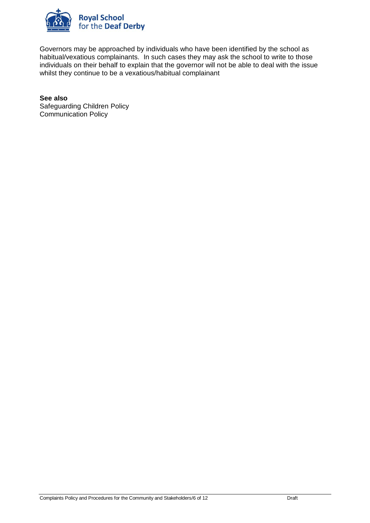

Governors may be approached by individuals who have been identified by the school as habitual/vexatious complainants. In such cases they may ask the school to write to those individuals on their behalf to explain that the governor will not be able to deal with the issue whilst they continue to be a vexatious/habitual complainant

## **See also**

Safeguarding Children Policy Communication Policy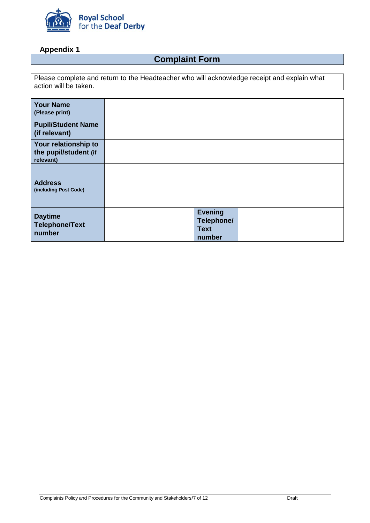

# **Appendix 1**

# **Complaint Form**

Please complete and return to the Headteacher who will acknowledge receipt and explain what action will be taken.

| <b>Your Name</b><br>(Please print)                         |                                                       |
|------------------------------------------------------------|-------------------------------------------------------|
| <b>Pupil/Student Name</b><br>(if relevant)                 |                                                       |
| Your relationship to<br>the pupil/student (if<br>relevant) |                                                       |
| <b>Address</b><br>(including Post Code)                    |                                                       |
| <b>Daytime</b><br>Telephone/Text<br>number                 | <b>Evening</b><br>Telephone/<br><b>Text</b><br>number |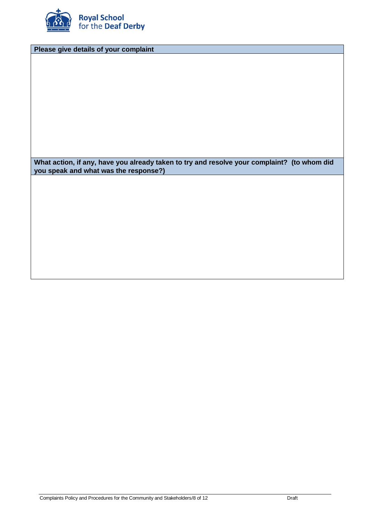

**Please give details of your complaint**

**What action, if any, have you already taken to try and resolve your complaint? (to whom did you speak and what was the response?)**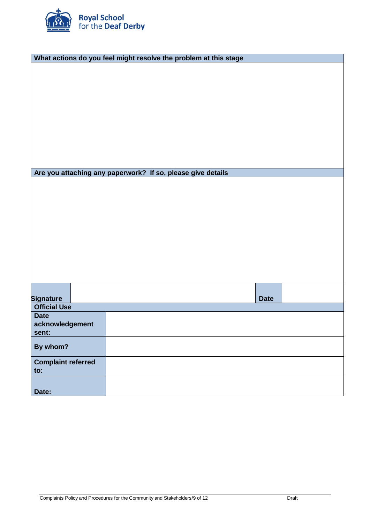

|                                    | What actions do you feel might resolve the problem at this stage |             |  |
|------------------------------------|------------------------------------------------------------------|-------------|--|
|                                    |                                                                  |             |  |
|                                    |                                                                  |             |  |
|                                    |                                                                  |             |  |
|                                    |                                                                  |             |  |
|                                    |                                                                  |             |  |
|                                    |                                                                  |             |  |
|                                    |                                                                  |             |  |
|                                    |                                                                  |             |  |
|                                    |                                                                  |             |  |
|                                    |                                                                  |             |  |
|                                    | Are you attaching any paperwork? If so, please give details      |             |  |
|                                    |                                                                  |             |  |
|                                    |                                                                  |             |  |
|                                    |                                                                  |             |  |
|                                    |                                                                  |             |  |
|                                    |                                                                  |             |  |
|                                    |                                                                  |             |  |
|                                    |                                                                  |             |  |
|                                    |                                                                  |             |  |
|                                    |                                                                  |             |  |
|                                    |                                                                  |             |  |
|                                    |                                                                  |             |  |
| <b>Signature</b>                   |                                                                  | <b>Date</b> |  |
| <b>Official Use</b><br><b>Date</b> |                                                                  |             |  |
| acknowledgement                    |                                                                  |             |  |
| sent:                              |                                                                  |             |  |
| By whom?                           |                                                                  |             |  |
|                                    |                                                                  |             |  |
| <b>Complaint referred</b>          |                                                                  |             |  |
| to:                                |                                                                  |             |  |
|                                    |                                                                  |             |  |
| Date:                              |                                                                  |             |  |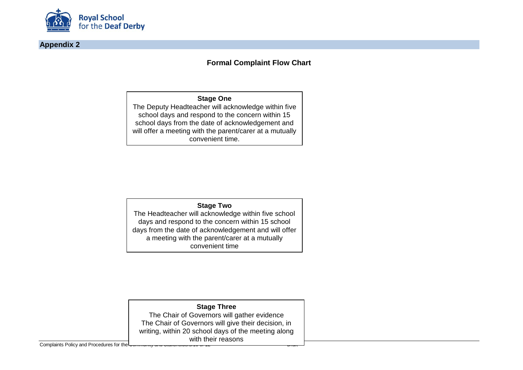

## **Appendix 2**

# **Formal Complaint Flow Chart**

## **Stage One**

The Deputy Headteacher will acknowledge within five school days and respond to the concern within 15 school days from the date of acknowledgement and will offer a meeting with the parent/carer at a mutually convenient time.

## **Stage Two**

The Headteacher will acknowledge within five school days and respond to the concern within 15 school days from the date of acknowledgement and will offer a meeting with the parent/carer at a mutually convenient time

## **Stage Three**

The Chair of Governors will gather evidence The Chair of Governors will give their decision, in writing, within 20 school days of the meeting along with their reasons

Complaints Policy and Procedures for the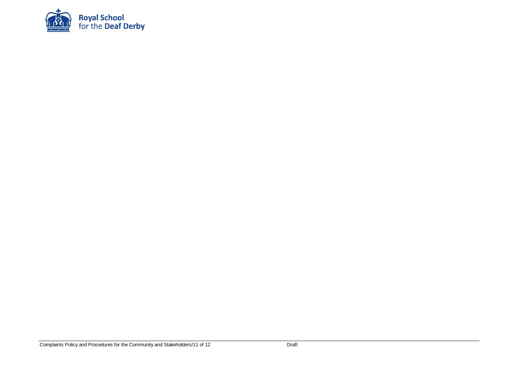